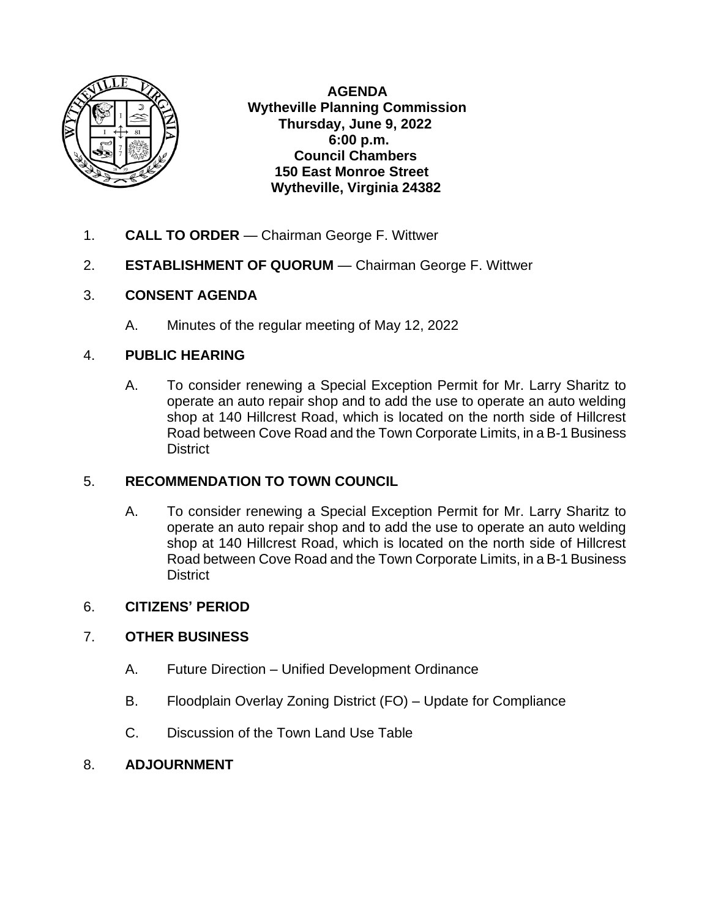

 **AGENDA Wytheville Planning Commission Thursday, June 9, 2022 6:00 p.m. Council Chambers 150 East Monroe Street Wytheville, Virginia 24382**

- 1. **CALL TO ORDER**  Chairman George F. Wittwer
- 2. **ESTABLISHMENT OF QUORUM**  Chairman George F. Wittwer

## 3. **CONSENT AGENDA**

A. Minutes of the regular meeting of May 12, 2022

## 4. **PUBLIC HEARING**

A. To consider renewing a Special Exception Permit for Mr. Larry Sharitz to operate an auto repair shop and to add the use to operate an auto welding shop at 140 Hillcrest Road, which is located on the north side of Hillcrest Road between Cove Road and the Town Corporate Limits, in a B-1 Business **District** 

# 5. **RECOMMENDATION TO TOWN COUNCIL**

A. To consider renewing a Special Exception Permit for Mr. Larry Sharitz to operate an auto repair shop and to add the use to operate an auto welding shop at 140 Hillcrest Road, which is located on the north side of Hillcrest Road between Cove Road and the Town Corporate Limits, in a B-1 Business **District** 

# 6. **CITIZENS' PERIOD**

## 7. **OTHER BUSINESS**

- A. Future Direction Unified Development Ordinance
- B. Floodplain Overlay Zoning District (FO) Update for Compliance
- C. Discussion of the Town Land Use Table

## 8. **ADJOURNMENT**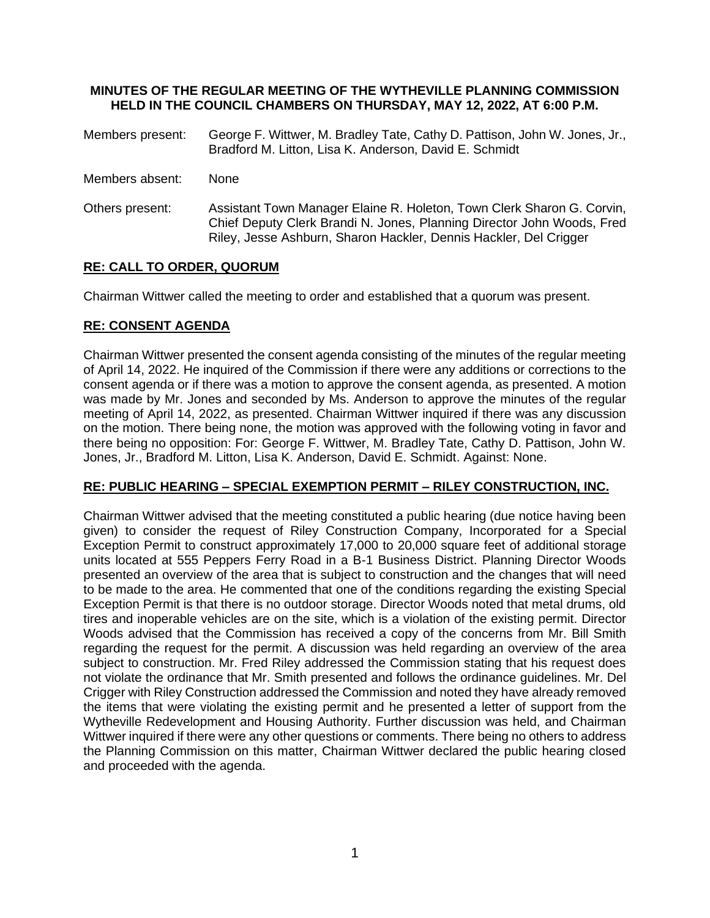#### **MINUTES OF THE REGULAR MEETING OF THE WYTHEVILLE PLANNING COMMISSION HELD IN THE COUNCIL CHAMBERS ON THURSDAY, MAY 12, 2022, AT 6:00 P.M.**

- Members present: George F. Wittwer, M. Bradley Tate, Cathy D. Pattison, John W. Jones, Jr., Bradford M. Litton, Lisa K. Anderson, David E. Schmidt
- Members absent: None
- Others present: Assistant Town Manager Elaine R. Holeton, Town Clerk Sharon G. Corvin, Chief Deputy Clerk Brandi N. Jones, Planning Director John Woods, Fred Riley, Jesse Ashburn, Sharon Hackler, Dennis Hackler, Del Crigger

### **RE: CALL TO ORDER, QUORUM**

Chairman Wittwer called the meeting to order and established that a quorum was present.

#### **RE: CONSENT AGENDA**

Chairman Wittwer presented the consent agenda consisting of the minutes of the regular meeting of April 14, 2022. He inquired of the Commission if there were any additions or corrections to the consent agenda or if there was a motion to approve the consent agenda, as presented. A motion was made by Mr. Jones and seconded by Ms. Anderson to approve the minutes of the regular meeting of April 14, 2022, as presented. Chairman Wittwer inquired if there was any discussion on the motion. There being none, the motion was approved with the following voting in favor and there being no opposition: For: George F. Wittwer, M. Bradley Tate, Cathy D. Pattison, John W. Jones, Jr., Bradford M. Litton, Lisa K. Anderson, David E. Schmidt. Against: None.

#### **RE: PUBLIC HEARING – SPECIAL EXEMPTION PERMIT – RILEY CONSTRUCTION, INC.**

Chairman Wittwer advised that the meeting constituted a public hearing (due notice having been given) to consider the request of Riley Construction Company, Incorporated for a Special Exception Permit to construct approximately 17,000 to 20,000 square feet of additional storage units located at 555 Peppers Ferry Road in a B-1 Business District. Planning Director Woods presented an overview of the area that is subject to construction and the changes that will need to be made to the area. He commented that one of the conditions regarding the existing Special Exception Permit is that there is no outdoor storage. Director Woods noted that metal drums, old tires and inoperable vehicles are on the site, which is a violation of the existing permit. Director Woods advised that the Commission has received a copy of the concerns from Mr. Bill Smith regarding the request for the permit. A discussion was held regarding an overview of the area subject to construction. Mr. Fred Riley addressed the Commission stating that his request does not violate the ordinance that Mr. Smith presented and follows the ordinance guidelines. Mr. Del Crigger with Riley Construction addressed the Commission and noted they have already removed the items that were violating the existing permit and he presented a letter of support from the Wytheville Redevelopment and Housing Authority. Further discussion was held, and Chairman Wittwer inquired if there were any other questions or comments. There being no others to address the Planning Commission on this matter, Chairman Wittwer declared the public hearing closed and proceeded with the agenda.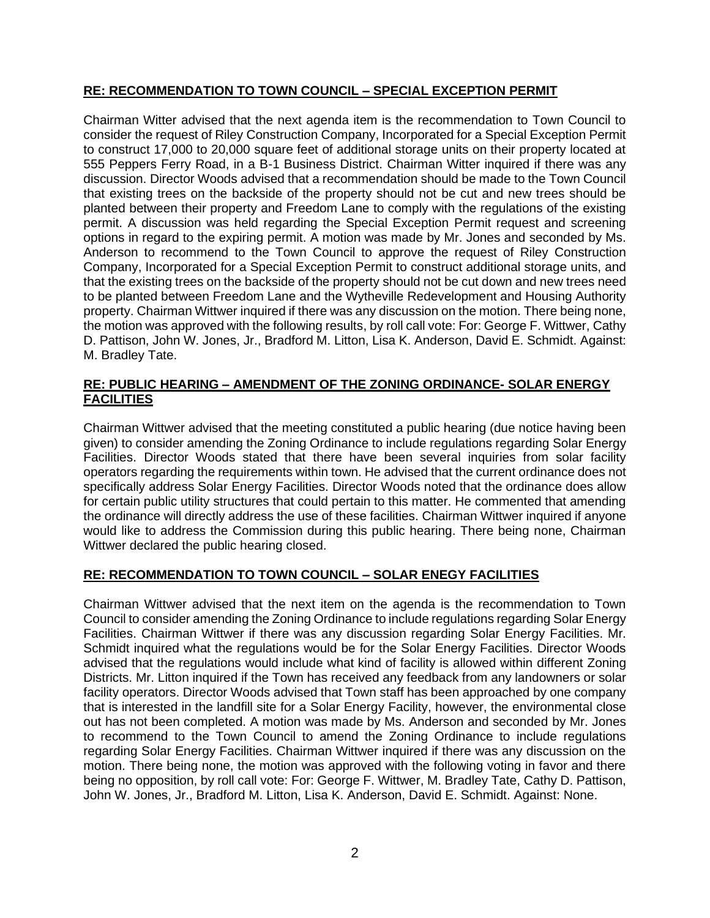#### **RE: RECOMMENDATION TO TOWN COUNCIL – SPECIAL EXCEPTION PERMIT**

Chairman Witter advised that the next agenda item is the recommendation to Town Council to consider the request of Riley Construction Company, Incorporated for a Special Exception Permit to construct 17,000 to 20,000 square feet of additional storage units on their property located at 555 Peppers Ferry Road, in a B-1 Business District. Chairman Witter inquired if there was any discussion. Director Woods advised that a recommendation should be made to the Town Council that existing trees on the backside of the property should not be cut and new trees should be planted between their property and Freedom Lane to comply with the regulations of the existing permit. A discussion was held regarding the Special Exception Permit request and screening options in regard to the expiring permit. A motion was made by Mr. Jones and seconded by Ms. Anderson to recommend to the Town Council to approve the request of Riley Construction Company, Incorporated for a Special Exception Permit to construct additional storage units, and that the existing trees on the backside of the property should not be cut down and new trees need to be planted between Freedom Lane and the Wytheville Redevelopment and Housing Authority property. Chairman Wittwer inquired if there was any discussion on the motion. There being none, the motion was approved with the following results, by roll call vote: For: George F. Wittwer, Cathy D. Pattison, John W. Jones, Jr., Bradford M. Litton, Lisa K. Anderson, David E. Schmidt. Against: M. Bradley Tate.

#### **RE: PUBLIC HEARING – AMENDMENT OF THE ZONING ORDINANCE- SOLAR ENERGY FACILITIES**

Chairman Wittwer advised that the meeting constituted a public hearing (due notice having been given) to consider amending the Zoning Ordinance to include regulations regarding Solar Energy Facilities. Director Woods stated that there have been several inquiries from solar facility operators regarding the requirements within town. He advised that the current ordinance does not specifically address Solar Energy Facilities. Director Woods noted that the ordinance does allow for certain public utility structures that could pertain to this matter. He commented that amending the ordinance will directly address the use of these facilities. Chairman Wittwer inquired if anyone would like to address the Commission during this public hearing. There being none, Chairman Wittwer declared the public hearing closed.

#### **RE: RECOMMENDATION TO TOWN COUNCIL – SOLAR ENEGY FACILITIES**

Chairman Wittwer advised that the next item on the agenda is the recommendation to Town Council to consider amending the Zoning Ordinance to include regulations regarding Solar Energy Facilities. Chairman Wittwer if there was any discussion regarding Solar Energy Facilities. Mr. Schmidt inquired what the regulations would be for the Solar Energy Facilities. Director Woods advised that the regulations would include what kind of facility is allowed within different Zoning Districts. Mr. Litton inquired if the Town has received any feedback from any landowners or solar facility operators. Director Woods advised that Town staff has been approached by one company that is interested in the landfill site for a Solar Energy Facility, however, the environmental close out has not been completed. A motion was made by Ms. Anderson and seconded by Mr. Jones to recommend to the Town Council to amend the Zoning Ordinance to include regulations regarding Solar Energy Facilities. Chairman Wittwer inquired if there was any discussion on the motion. There being none, the motion was approved with the following voting in favor and there being no opposition, by roll call vote: For: George F. Wittwer, M. Bradley Tate, Cathy D. Pattison, John W. Jones, Jr., Bradford M. Litton, Lisa K. Anderson, David E. Schmidt. Against: None.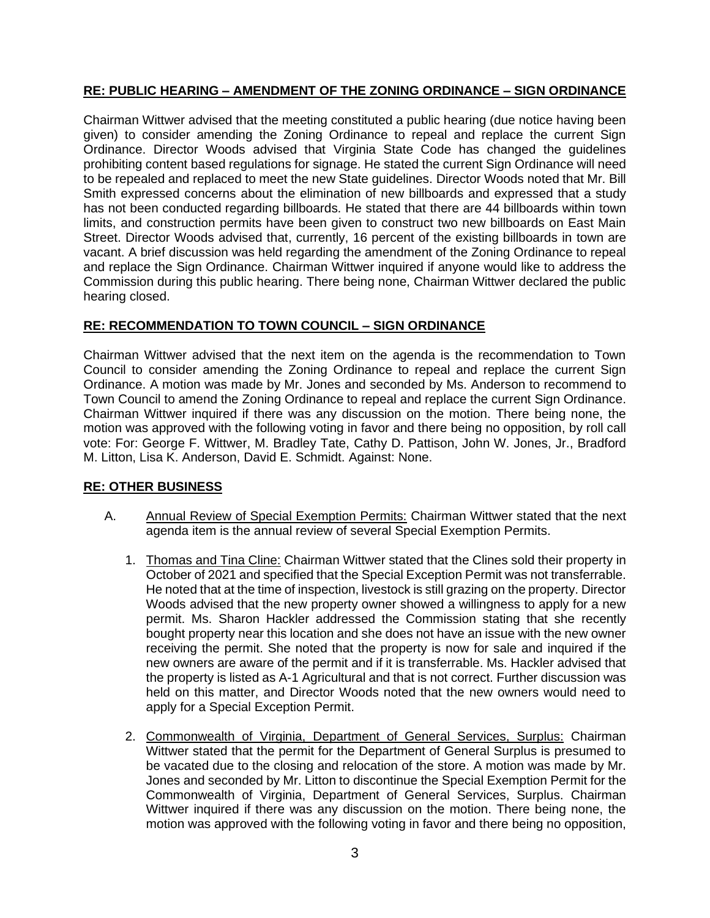### **RE: PUBLIC HEARING – AMENDMENT OF THE ZONING ORDINANCE – SIGN ORDINANCE**

Chairman Wittwer advised that the meeting constituted a public hearing (due notice having been given) to consider amending the Zoning Ordinance to repeal and replace the current Sign Ordinance. Director Woods advised that Virginia State Code has changed the guidelines prohibiting content based regulations for signage. He stated the current Sign Ordinance will need to be repealed and replaced to meet the new State guidelines. Director Woods noted that Mr. Bill Smith expressed concerns about the elimination of new billboards and expressed that a study has not been conducted regarding billboards. He stated that there are 44 billboards within town limits, and construction permits have been given to construct two new billboards on East Main Street. Director Woods advised that, currently, 16 percent of the existing billboards in town are vacant. A brief discussion was held regarding the amendment of the Zoning Ordinance to repeal and replace the Sign Ordinance. Chairman Wittwer inquired if anyone would like to address the Commission during this public hearing. There being none, Chairman Wittwer declared the public hearing closed.

#### **RE: RECOMMENDATION TO TOWN COUNCIL – SIGN ORDINANCE**

Chairman Wittwer advised that the next item on the agenda is the recommendation to Town Council to consider amending the Zoning Ordinance to repeal and replace the current Sign Ordinance. A motion was made by Mr. Jones and seconded by Ms. Anderson to recommend to Town Council to amend the Zoning Ordinance to repeal and replace the current Sign Ordinance. Chairman Wittwer inquired if there was any discussion on the motion. There being none, the motion was approved with the following voting in favor and there being no opposition, by roll call vote: For: George F. Wittwer, M. Bradley Tate, Cathy D. Pattison, John W. Jones, Jr., Bradford M. Litton, Lisa K. Anderson, David E. Schmidt. Against: None.

#### **RE: OTHER BUSINESS**

- A. Annual Review of Special Exemption Permits: Chairman Wittwer stated that the next agenda item is the annual review of several Special Exemption Permits.
	- 1. Thomas and Tina Cline: Chairman Wittwer stated that the Clines sold their property in October of 2021 and specified that the Special Exception Permit was not transferrable. He noted that at the time of inspection, livestock is still grazing on the property. Director Woods advised that the new property owner showed a willingness to apply for a new permit. Ms. Sharon Hackler addressed the Commission stating that she recently bought property near this location and she does not have an issue with the new owner receiving the permit. She noted that the property is now for sale and inquired if the new owners are aware of the permit and if it is transferrable. Ms. Hackler advised that the property is listed as A-1 Agricultural and that is not correct. Further discussion was held on this matter, and Director Woods noted that the new owners would need to apply for a Special Exception Permit.
	- 2. Commonwealth of Virginia, Department of General Services, Surplus: Chairman Wittwer stated that the permit for the Department of General Surplus is presumed to be vacated due to the closing and relocation of the store. A motion was made by Mr. Jones and seconded by Mr. Litton to discontinue the Special Exemption Permit for the Commonwealth of Virginia, Department of General Services, Surplus. Chairman Wittwer inquired if there was any discussion on the motion. There being none, the motion was approved with the following voting in favor and there being no opposition,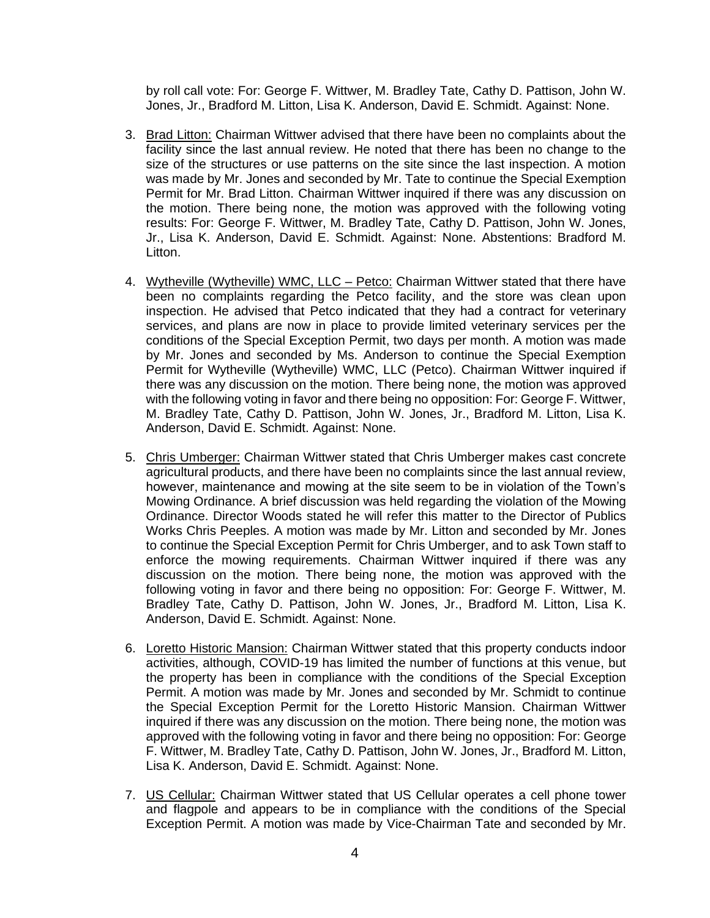by roll call vote: For: George F. Wittwer, M. Bradley Tate, Cathy D. Pattison, John W. Jones, Jr., Bradford M. Litton, Lisa K. Anderson, David E. Schmidt. Against: None.

- 3. Brad Litton: Chairman Wittwer advised that there have been no complaints about the facility since the last annual review. He noted that there has been no change to the size of the structures or use patterns on the site since the last inspection. A motion was made by Mr. Jones and seconded by Mr. Tate to continue the Special Exemption Permit for Mr. Brad Litton. Chairman Wittwer inquired if there was any discussion on the motion. There being none, the motion was approved with the following voting results: For: George F. Wittwer, M. Bradley Tate, Cathy D. Pattison, John W. Jones, Jr., Lisa K. Anderson, David E. Schmidt. Against: None. Abstentions: Bradford M. Litton.
- 4. Wytheville (Wytheville) WMC, LLC Petco: Chairman Wittwer stated that there have been no complaints regarding the Petco facility, and the store was clean upon inspection. He advised that Petco indicated that they had a contract for veterinary services, and plans are now in place to provide limited veterinary services per the conditions of the Special Exception Permit, two days per month. A motion was made by Mr. Jones and seconded by Ms. Anderson to continue the Special Exemption Permit for Wytheville (Wytheville) WMC, LLC (Petco). Chairman Wittwer inquired if there was any discussion on the motion. There being none, the motion was approved with the following voting in favor and there being no opposition: For: George F. Wittwer, M. Bradley Tate, Cathy D. Pattison, John W. Jones, Jr., Bradford M. Litton, Lisa K. Anderson, David E. Schmidt. Against: None.
- 5. Chris Umberger: Chairman Wittwer stated that Chris Umberger makes cast concrete agricultural products, and there have been no complaints since the last annual review, however, maintenance and mowing at the site seem to be in violation of the Town's Mowing Ordinance. A brief discussion was held regarding the violation of the Mowing Ordinance. Director Woods stated he will refer this matter to the Director of Publics Works Chris Peeples. A motion was made by Mr. Litton and seconded by Mr. Jones to continue the Special Exception Permit for Chris Umberger, and to ask Town staff to enforce the mowing requirements. Chairman Wittwer inquired if there was any discussion on the motion. There being none, the motion was approved with the following voting in favor and there being no opposition: For: George F. Wittwer, M. Bradley Tate, Cathy D. Pattison, John W. Jones, Jr., Bradford M. Litton, Lisa K. Anderson, David E. Schmidt. Against: None.
- 6. Loretto Historic Mansion: Chairman Wittwer stated that this property conducts indoor activities, although, COVID-19 has limited the number of functions at this venue, but the property has been in compliance with the conditions of the Special Exception Permit. A motion was made by Mr. Jones and seconded by Mr. Schmidt to continue the Special Exception Permit for the Loretto Historic Mansion. Chairman Wittwer inquired if there was any discussion on the motion. There being none, the motion was approved with the following voting in favor and there being no opposition: For: George F. Wittwer, M. Bradley Tate, Cathy D. Pattison, John W. Jones, Jr., Bradford M. Litton, Lisa K. Anderson, David E. Schmidt. Against: None.
- 7. US Cellular: Chairman Wittwer stated that US Cellular operates a cell phone tower and flagpole and appears to be in compliance with the conditions of the Special Exception Permit. A motion was made by Vice-Chairman Tate and seconded by Mr.